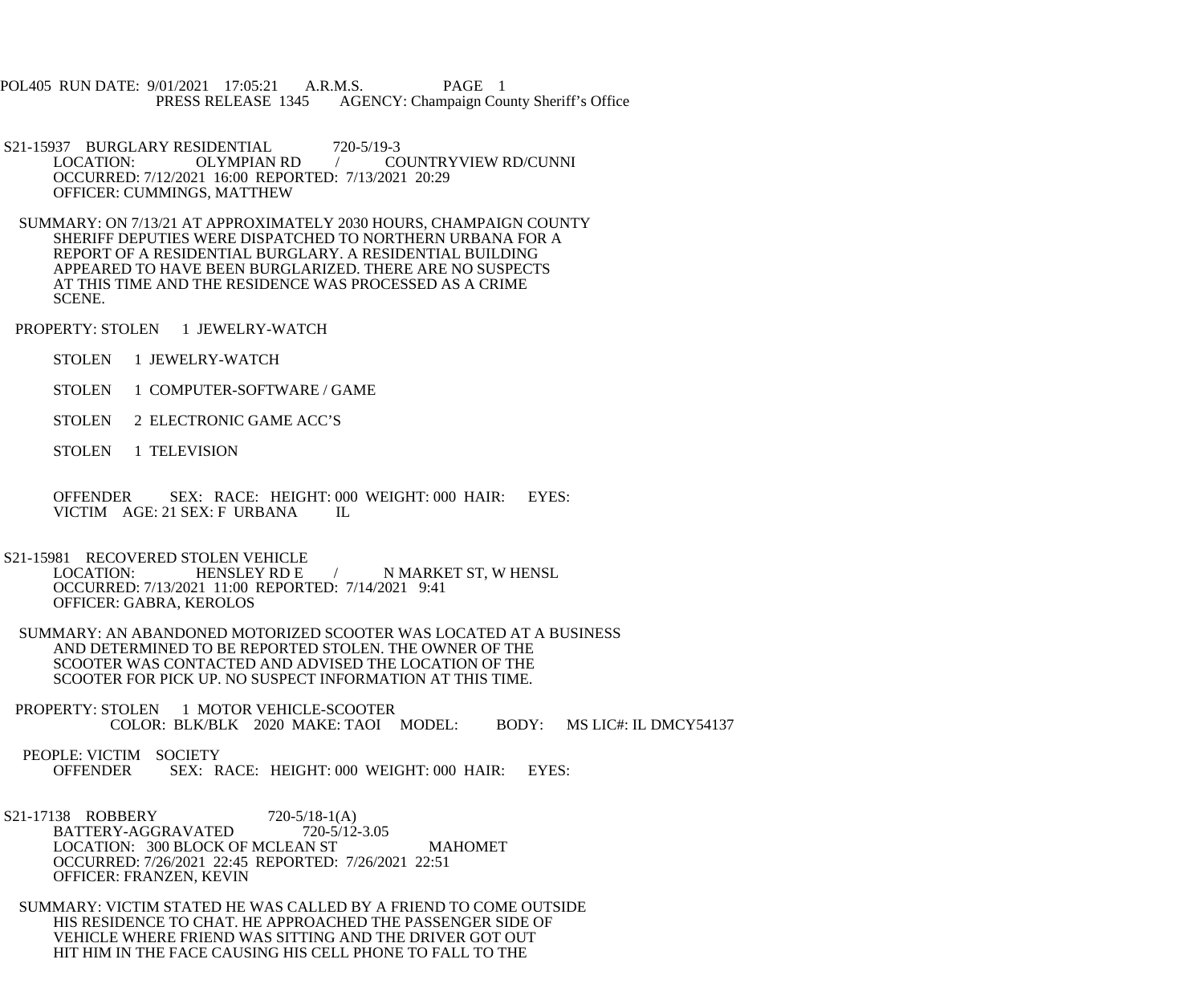POL405 RUN DATE: 9/01/2021 17:05:21 A.R.M.S. PAGE 1 PRESS RELEASE 1345 AGENCY: Champaign County Sheriff's Office

S21-15937 BURGLARY RESIDENTIAL 720-5/19-3<br>LOCATION: OLYMPIAN RD / CO COUNTRYVIEW RD/CUNNI OCCURRED: 7/12/2021 16:00 REPORTED: 7/13/2021 20:29 OFFICER: CUMMINGS, MATTHEW

 SUMMARY: ON 7/13/21 AT APPROXIMATELY 2030 HOURS, CHAMPAIGN COUNTY SHERIFF DEPUTIES WERE DISPATCHED TO NORTHERN URBANA FOR A REPORT OF A RESIDENTIAL BURGLARY. A RESIDENTIAL BUILDING APPEARED TO HAVE BEEN BURGLARIZED. THERE ARE NO SUSPECTS AT THIS TIME AND THE RESIDENCE WAS PROCESSED AS A CRIME SCENE.

PROPERTY: STOLEN 1 JEWELRY-WATCH

STOLEN 1 JEWELRY-WATCH

STOLEN 1 COMPUTER-SOFTWARE / GAME

STOLEN 2 ELECTRONIC GAME ACC'S

STOLEN 1 TELEVISION

 OFFENDER SEX: RACE: HEIGHT: 000 WEIGHT: 000 HAIR: EYES: VICTIM AGE: 21 SEX: F URBANA IL

S21-15981 RECOVERED STOLEN VEHICLE<br>LOCATION: HENSLEY RD E / N MARKET ST, W HENSL OCCURRED: 7/13/2021 11:00 REPORTED: 7/14/2021 9:41 OFFICER: GABRA, KEROLOS

 SUMMARY: AN ABANDONED MOTORIZED SCOOTER WAS LOCATED AT A BUSINESS AND DETERMINED TO BE REPORTED STOLEN. THE OWNER OF THE SCOOTER WAS CONTACTED AND ADVISED THE LOCATION OF THE SCOOTER FOR PICK UP. NO SUSPECT INFORMATION AT THIS TIME.

PROPERTY: STOLEN 1 MOTOR VEHICLE-SCOOTER COLOR: BLK/BLK 2020 MAKE: TAOI MODEL: BODY: MS LIC#: IL DMCY54137

PEOPLE: VICTIM SOCIETY<br>OFFENDER SEX: R SEX: RACE: HEIGHT: 000 WEIGHT: 000 HAIR: EYES:

S21-17138 ROBBERY 720-5/18-1(A)<br>BATTERY-AGGRAVATED 720-5/12-3.05 BATTERY-AGGRAVATED LOCATION: 300 BLOCK OF MCLEAN ST MAHOMET OCCURRED: 7/26/2021 22:45 REPORTED: 7/26/2021 22:51 OFFICER: FRANZEN, KEVIN

 SUMMARY: VICTIM STATED HE WAS CALLED BY A FRIEND TO COME OUTSIDE HIS RESIDENCE TO CHAT. HE APPROACHED THE PASSENGER SIDE OF VEHICLE WHERE FRIEND WAS SITTING AND THE DRIVER GOT OUT HIT HIM IN THE FACE CAUSING HIS CELL PHONE TO FALL TO THE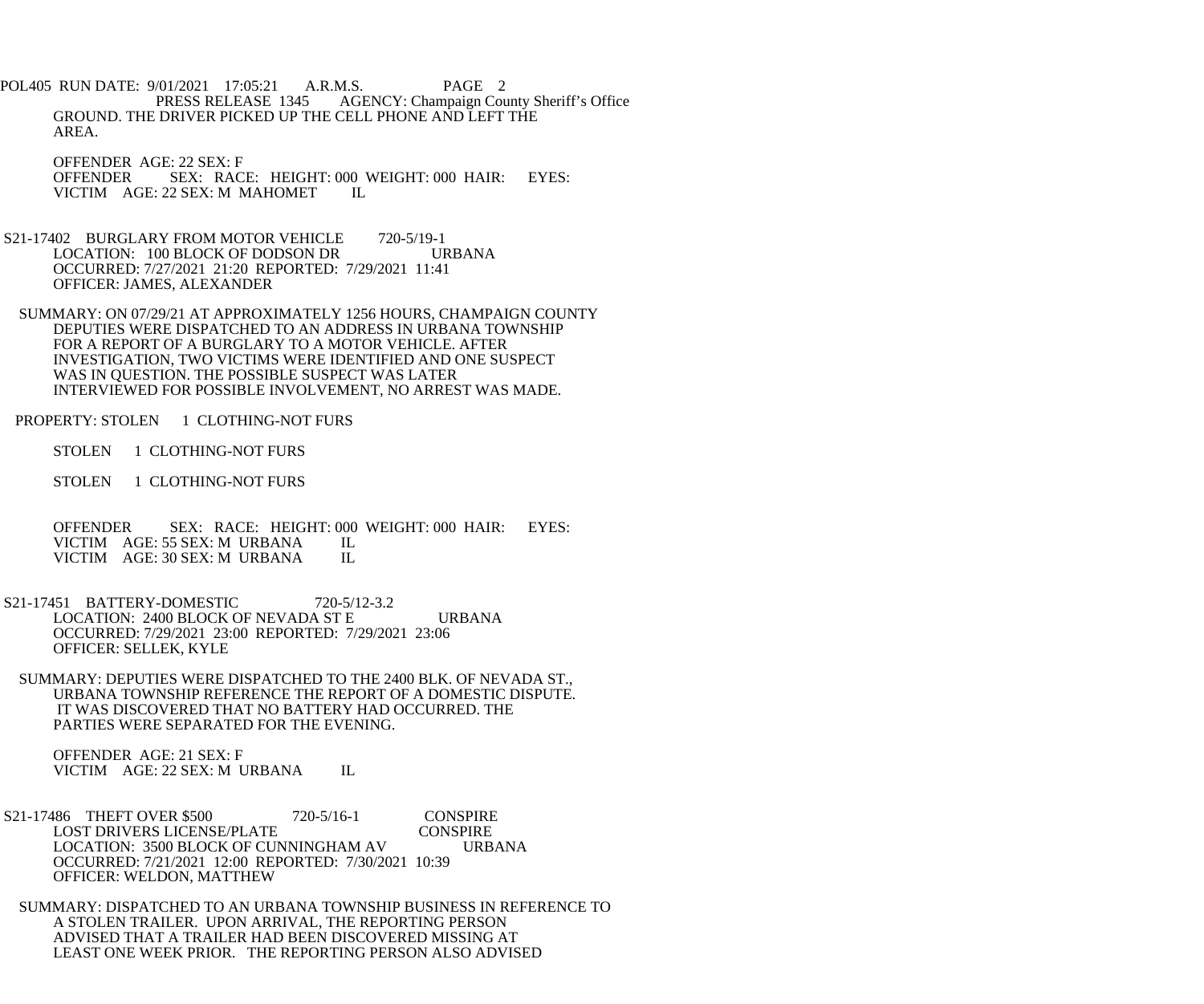POL405 RUN DATE: 9/01/2021 17:05:21 A.R.M.S. PAGE 2<br>PRESS RELEASE 1345 AGENCY: Champaign Cou AGENCY: Champaign County Sheriff's Office GROUND. THE DRIVER PICKED UP THE CELL PHONE AND LEFT THE AREA.

 OFFENDER AGE: 22 SEX: F OFFENDER SEX: RACE: HEIGHT: 000 WEIGHT: 000 HAIR: EYES: VICTIM AGE: 22 SEX: M MAHOMET IL

- S21-17402 BURGLARY FROM MOTOR VEHICLE 720-5/19-1 LOCATION: 100 BLOCK OF DODSON DR URBANA OCCURRED: 7/27/2021 21:20 REPORTED: 7/29/2021 11:41 OFFICER: JAMES, ALEXANDER
- SUMMARY: ON 07/29/21 AT APPROXIMATELY 1256 HOURS, CHAMPAIGN COUNTY DEPUTIES WERE DISPATCHED TO AN ADDRESS IN URBANA TOWNSHIP FOR A REPORT OF A BURGLARY TO A MOTOR VEHICLE. AFTER INVESTIGATION, TWO VICTIMS WERE IDENTIFIED AND ONE SUSPECT WAS IN QUESTION. THE POSSIBLE SUSPECT WAS LATER INTERVIEWED FOR POSSIBLE INVOLVEMENT, NO ARREST WAS MADE.
- PROPERTY: STOLEN 1 CLOTHING-NOT FURS
	- STOLEN 1 CLOTHING-NOT FURS
	- STOLEN 1 CLOTHING-NOT FURS

OFFENDER SEX: RACE: HEIGHT: 000 WEIGHT: 000 HAIR: EYES: VICTIM AGE: 55 SEX: M URBANA IL VICTIM AGE: 55 SEX: M URBANA IL<br>VICTIM AGE: 30 SEX: M URBANA IL VICTIM AGE: 30 SEX: M URBANA

- S21-17451 BATTERY-DOMESTIC 720-5/12-3.2 LOCATION: 2400 BLOCK OF NEVADA ST E URBANA OCCURRED: 7/29/2021 23:00 REPORTED: 7/29/2021 23:06 OFFICER: SELLEK, KYLE
- SUMMARY: DEPUTIES WERE DISPATCHED TO THE 2400 BLK. OF NEVADA ST., URBANA TOWNSHIP REFERENCE THE REPORT OF A DOMESTIC DISPUTE. IT WAS DISCOVERED THAT NO BATTERY HAD OCCURRED. THE PARTIES WERE SEPARATED FOR THE EVENING.

 OFFENDER AGE: 21 SEX: F VICTIM AGE: 22 SEX: M URBANA IL

- S21-17486 THEFT OVER \$500 720-5/16-1 CONSPIRE<br>LOST DRIVERS LICENSE/PLATE CONSPIRE LOST DRIVERS LICENSE/PLATE LOCATION: 3500 BLOCK OF CUNNINGHAM AV URBANA OCCURRED: 7/21/2021 12:00 REPORTED: 7/30/2021 10:39 OFFICER: WELDON, MATTHEW
- SUMMARY: DISPATCHED TO AN URBANA TOWNSHIP BUSINESS IN REFERENCE TO A STOLEN TRAILER. UPON ARRIVAL, THE REPORTING PERSON ADVISED THAT A TRAILER HAD BEEN DISCOVERED MISSING AT LEAST ONE WEEK PRIOR. THE REPORTING PERSON ALSO ADVISED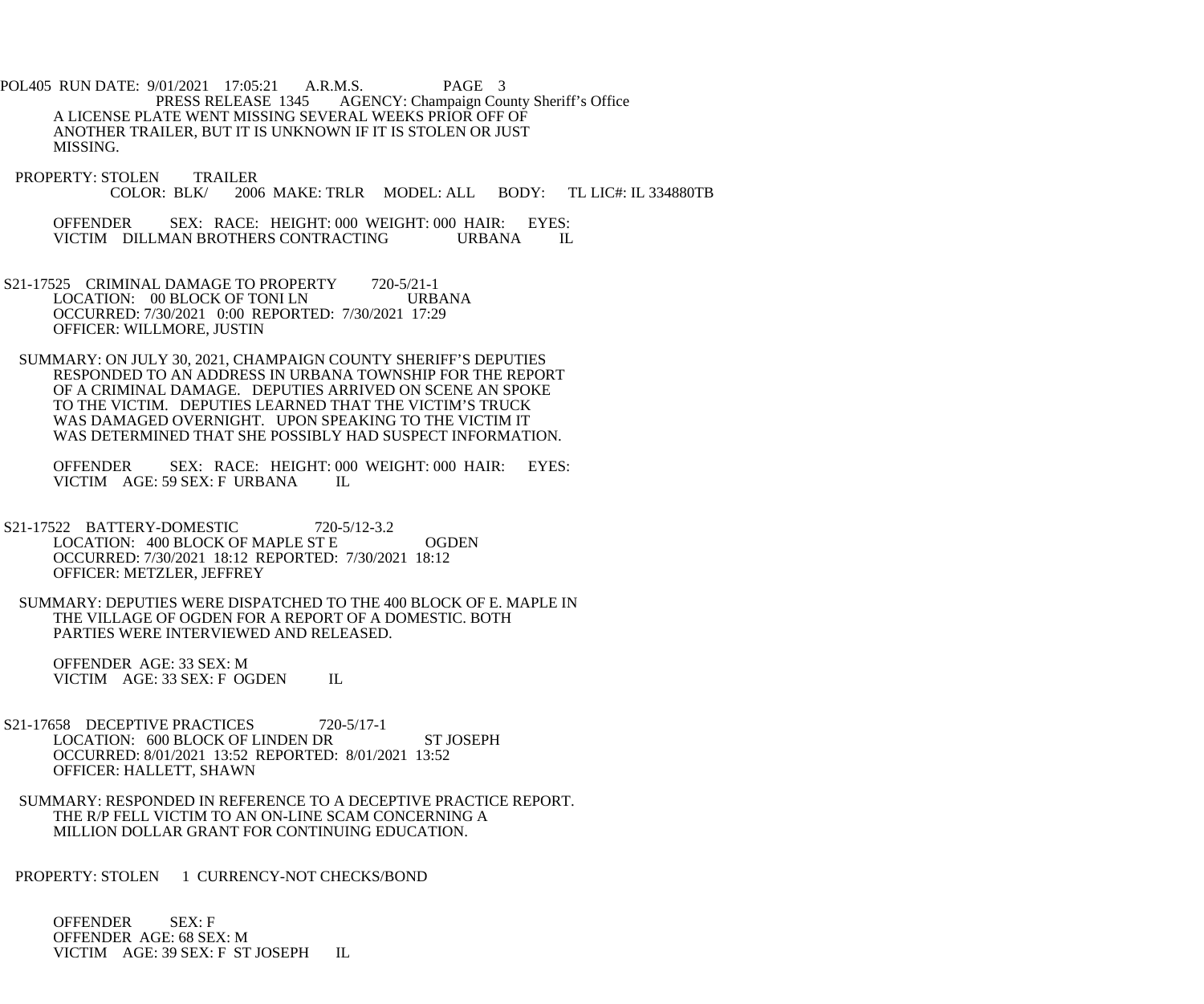POL405 RUN DATE: 9/01/2021 17:05:21 A.R.M.S. PAGE 3<br>PRESS RELEASE 1345 AGENCY: Champaign Cou AGENCY: Champaign County Sheriff's Office A LICENSE PLATE WENT MISSING SEVERAL WEEKS PRIOR OFF OF ANOTHER TRAILER, BUT IT IS UNKNOWN IF IT IS STOLEN OR JUST MISSING.

PROPERTY: STOLEN TRAILER<br>COLOR: BLK/ 200 2006 MAKE: TRLR MODEL: ALL BODY: TL LIC#: IL 334880TB

 OFFENDER SEX: RACE: HEIGHT: 000 WEIGHT: 000 HAIR: EYES: VICTIM DILLMAN BROTHERS CONTRACTING URBANA IL

S21-17525 CRIMINAL DAMAGE TO PROPERTY 720-5/21-1<br>LOCATION: 00 BLOCK OF TONI LN URBANA LOCATION: 00 BLOCK OF TONI LN OCCURRED: 7/30/2021 0:00 REPORTED: 7/30/2021 17:29 OFFICER: WILLMORE, JUSTIN

 SUMMARY: ON JULY 30, 2021, CHAMPAIGN COUNTY SHERIFF'S DEPUTIES RESPONDED TO AN ADDRESS IN URBANA TOWNSHIP FOR THE REPORT OF A CRIMINAL DAMAGE. DEPUTIES ARRIVED ON SCENE AN SPOKE TO THE VICTIM. DEPUTIES LEARNED THAT THE VICTIM'S TRUCK WAS DAMAGED OVERNIGHT. UPON SPEAKING TO THE VICTIM IT WAS DETERMINED THAT SHE POSSIBLY HAD SUSPECT INFORMATION.

 OFFENDER SEX: RACE: HEIGHT: 000 WEIGHT: 000 HAIR: EYES: VICTIM AGE: 59 SEX: F URBANA IL

- S21-17522 BATTERY-DOMESTIC 720-5/12-3.2 LOCATION: 400 BLOCK OF MAPLE ST E OGDEN OCCURRED: 7/30/2021 18:12 REPORTED: 7/30/2021 18:12 OFFICER: METZLER, JEFFREY
	- SUMMARY: DEPUTIES WERE DISPATCHED TO THE 400 BLOCK OF E. MAPLE IN THE VILLAGE OF OGDEN FOR A REPORT OF A DOMESTIC. BOTH PARTIES WERE INTERVIEWED AND RELEASED.

 OFFENDER AGE: 33 SEX: M VICTIM AGE: 33 SEX: F OGDEN IL

- S21-17658 DECEPTIVE PRACTICES 720-5/17-1 LOCATION: 600 BLOCK OF LINDEN DR ST JOSEPH OCCURRED: 8/01/2021 13:52 REPORTED: 8/01/2021 13:52 OFFICER: HALLETT, SHAWN
- SUMMARY: RESPONDED IN REFERENCE TO A DECEPTIVE PRACTICE REPORT. THE R/P FELL VICTIM TO AN ON-LINE SCAM CONCERNING A MILLION DOLLAR GRANT FOR CONTINUING EDUCATION.

PROPERTY: STOLEN 1 CURRENCY-NOT CHECKS/BOND

 OFFENDER SEX: F OFFENDER AGE: 68 SEX: M VICTIM AGE: 39 SEX: F ST JOSEPH IL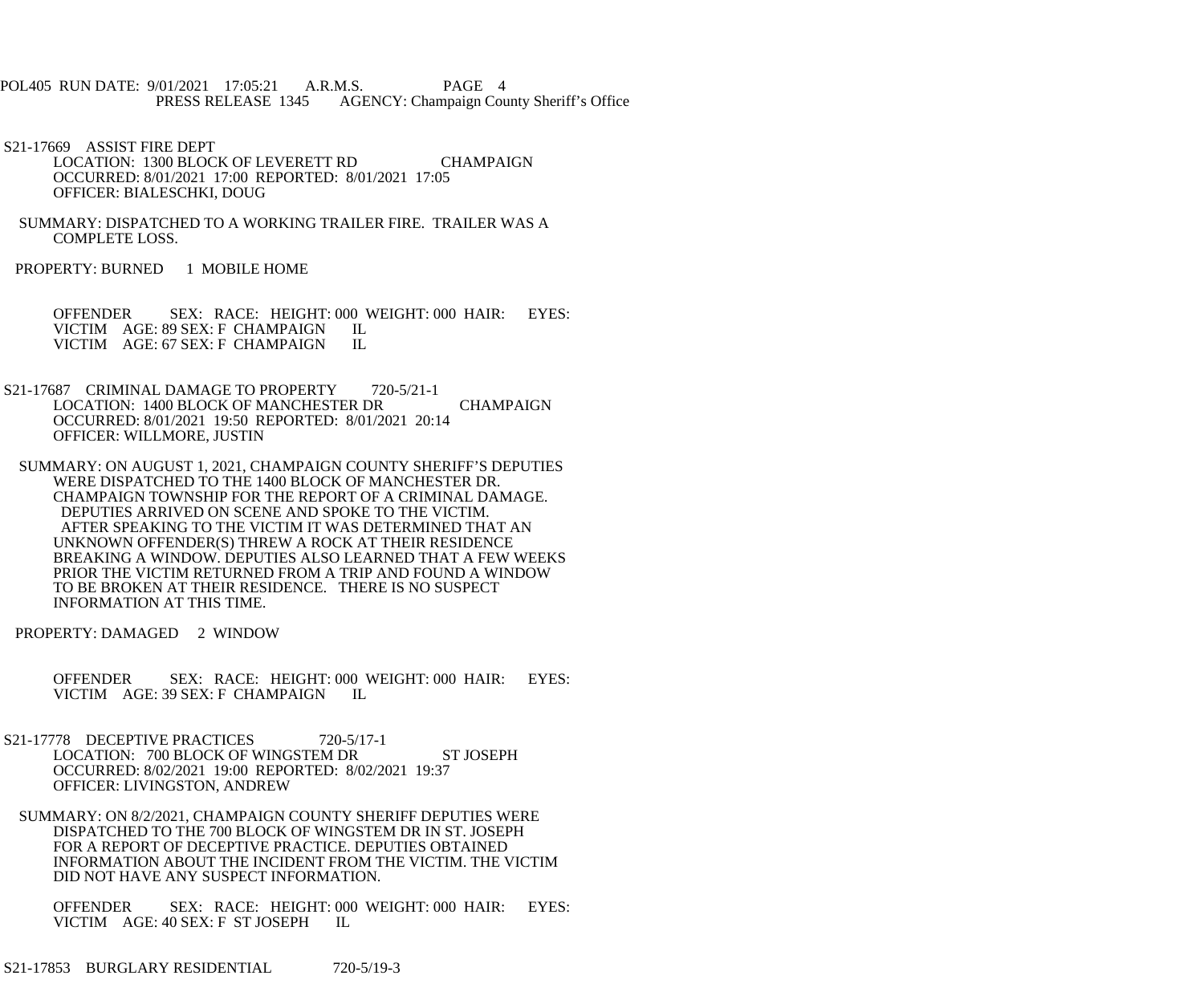- POL405 RUN DATE: 9/01/2021 17:05:21 A.R.M.S. PAGE 4<br>PRESS RELEASE 1345 AGENCY: Champaign Cou AGENCY: Champaign County Sheriff's Office
- S21-17669 ASSIST FIRE DEPT LOCATION: 1300 BLOCK OF LEVERETT RD CHAMPAIGN OCCURRED: 8/01/2021 17:00 REPORTED: 8/01/2021 17:05 OFFICER: BIALESCHKI, DOUG
- SUMMARY: DISPATCHED TO A WORKING TRAILER FIRE. TRAILER WAS A COMPLETE LOSS.
- PROPERTY: BURNED 1 MOBILE HOME

OFFENDER SEX: RACE: HEIGHT: 000 WEIGHT: 000 HAIR: EYES:<br>VICTIM AGE: 89 SEX: F CHAMPAIGN IL VICTIM AGE: 89 SEX: F CHAMPAIGN VICTIM AGE: 67 SEX: F CHAMPAIGN IL

- S21-17687 CRIMINAL DAMAGE TO PROPERTY 720-5/21-1 LOCATION: 1400 BLOCK OF MANCHESTER DR CHAMPAIGN OCCURRED: 8/01/2021 19:50 REPORTED: 8/01/2021 20:14 OFFICER: WILLMORE, JUSTIN
- SUMMARY: ON AUGUST 1, 2021, CHAMPAIGN COUNTY SHERIFF'S DEPUTIES WERE DISPATCHED TO THE 1400 BLOCK OF MANCHESTER DR. CHAMPAIGN TOWNSHIP FOR THE REPORT OF A CRIMINAL DAMAGE. DEPUTIES ARRIVED ON SCENE AND SPOKE TO THE VICTIM. AFTER SPEAKING TO THE VICTIM IT WAS DETERMINED THAT AN UNKNOWN OFFENDER(S) THREW A ROCK AT THEIR RESIDENCE BREAKING A WINDOW. DEPUTIES ALSO LEARNED THAT A FEW WEEKS PRIOR THE VICTIM RETURNED FROM A TRIP AND FOUND A WINDOW TO BE BROKEN AT THEIR RESIDENCE. THERE IS NO SUSPECT INFORMATION AT THIS TIME.
- PROPERTY: DAMAGED 2 WINDOW
	- OFFENDER SEX: RACE: HEIGHT: 000 WEIGHT: 000 HAIR: EYES: VICTIM AGE: 39 SEX: F CHAMPAIGN IL
- S21-17778 DECEPTIVE PRACTICES 720-5/17-1 LOCATION: 700 BLOCK OF WINGSTEM DR ST JOSEPH OCCURRED: 8/02/2021 19:00 REPORTED: 8/02/2021 19:37 OFFICER: LIVINGSTON, ANDREW
- SUMMARY: ON 8/2/2021, CHAMPAIGN COUNTY SHERIFF DEPUTIES WERE DISPATCHED TO THE 700 BLOCK OF WINGSTEM DR IN ST. JOSEPH FOR A REPORT OF DECEPTIVE PRACTICE. DEPUTIES OBTAINED INFORMATION ABOUT THE INCIDENT FROM THE VICTIM. THE VICTIM DID NOT HAVE ANY SUSPECT INFORMATION.

 OFFENDER SEX: RACE: HEIGHT: 000 WEIGHT: 000 HAIR: EYES: VICTIM AGE: 40 SEX: F ST JOSEPH IL